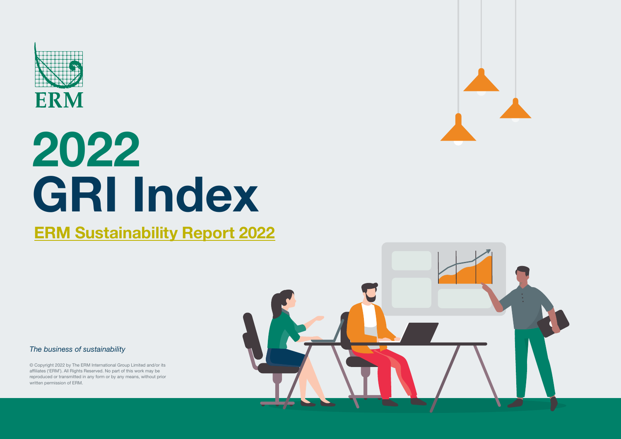

#### **[ERM Sustainability Report 2022](https://www.erm.com/sustainability-report/)**

*The business of sustainability*

© Copyright 2022 by The ERM International Group Limited and/or its affiliates ('ERM'). All Rights Reserved. No part of this work may be reproduced or transmitted in any form or by any means, without prior written permission of ERM.

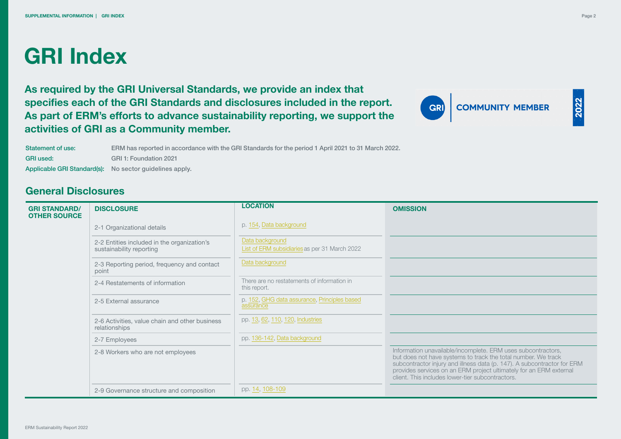**As required by the GRI Universal Standards, we provide an index that specifies each of the GRI Standards and disclosures included in the report. As part of ERM's efforts to advance sustainability reporting, we support the activities of GRI as a Community member.**



2022

Statement of use: GRI used: Applicable GRI Standard(s): No sector guidelines apply. ERM has reported in accordance with the GRI Standards for the period 1 April 2021 to 31 March 2022. GRI 1: Foundation 2021

#### **General Disclosures**

| <b>GRI STANDARD/</b><br><b>OTHER SOURCE</b> | <b>DISCLOSURE</b>                                                       | <b>LOCATION</b>                                                  | <b>OMISSION</b>                                                                                                                                                                                                                                                                                                                    |
|---------------------------------------------|-------------------------------------------------------------------------|------------------------------------------------------------------|------------------------------------------------------------------------------------------------------------------------------------------------------------------------------------------------------------------------------------------------------------------------------------------------------------------------------------|
|                                             | 2-1 Organizational details                                              | p. 154, Data background                                          |                                                                                                                                                                                                                                                                                                                                    |
|                                             | 2-2 Entities included in the organization's<br>sustainability reporting | Data background<br>List of ERM subsidiaries as per 31 March 2022 |                                                                                                                                                                                                                                                                                                                                    |
|                                             | 2-3 Reporting period, frequency and contact<br>point                    | Data background                                                  |                                                                                                                                                                                                                                                                                                                                    |
|                                             | 2-4 Restatements of information                                         | There are no restatements of information in<br>this report.      |                                                                                                                                                                                                                                                                                                                                    |
|                                             | 2-5 External assurance                                                  | p. 152, GHG data assurance, Principles based<br>assurance        |                                                                                                                                                                                                                                                                                                                                    |
|                                             | 2-6 Activities, value chain and other business<br>relationships         | pp. 13, 62, 110, 120, Industries                                 |                                                                                                                                                                                                                                                                                                                                    |
|                                             | 2-7 Employees                                                           | pp. 136-142, Data background                                     |                                                                                                                                                                                                                                                                                                                                    |
|                                             | 2-8 Workers who are not employees                                       |                                                                  | Information unavailable/incomplete. ERM uses subcontractors,<br>but does not have systems to track the total number. We track<br>subcontractor injury and illness data (p. 147). A subcontractor for ERM<br>provides services on an ERM project ultimately for an ERM external<br>client. This includes lower-tier subcontractors. |
|                                             | 2-9 Governance structure and composition                                | pp. 14, 108-109                                                  |                                                                                                                                                                                                                                                                                                                                    |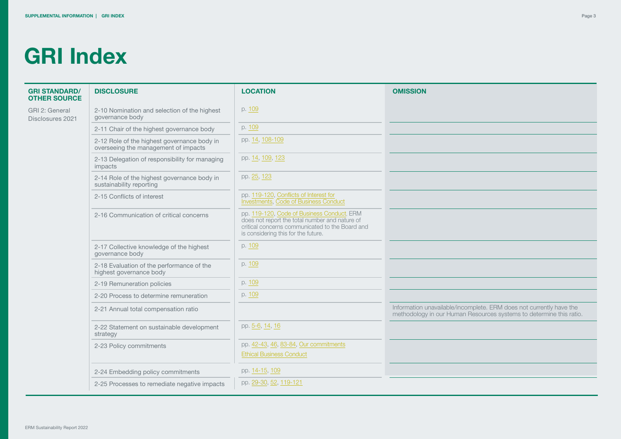| <b>GRI STANDARD/</b><br><b>OTHER SOURCE</b> | <b>DISCLOSURE</b>                                                                   | <b>LOCATION</b>                                                                                                                                                                        | <b>OMISSION</b>                                                                                                                            |
|---------------------------------------------|-------------------------------------------------------------------------------------|----------------------------------------------------------------------------------------------------------------------------------------------------------------------------------------|--------------------------------------------------------------------------------------------------------------------------------------------|
| GRI 2: General<br>Disclosures 2021          | 2-10 Nomination and selection of the highest<br>governance body                     | p. 109                                                                                                                                                                                 |                                                                                                                                            |
|                                             | 2-11 Chair of the highest governance body                                           | p. 109                                                                                                                                                                                 |                                                                                                                                            |
|                                             | 2-12 Role of the highest governance body in<br>overseeing the management of impacts | pp. 14, 108-109                                                                                                                                                                        |                                                                                                                                            |
|                                             | 2-13 Delegation of responsibility for managing<br>impacts                           | pp. 14, 109, 123                                                                                                                                                                       |                                                                                                                                            |
|                                             | 2-14 Role of the highest governance body in<br>sustainability reporting             | pp. 25, 123                                                                                                                                                                            |                                                                                                                                            |
|                                             | 2-15 Conflicts of interest                                                          | pp. 119-120, Conflicts of Interest for<br>Investments, Code of Business Conduct                                                                                                        |                                                                                                                                            |
|                                             | 2-16 Communication of critical concerns                                             | pp. 119-120, Code of Business Conduct, ERM<br>does not report the total number and nature of<br>critical concerns communicated to the Board and<br>is considering this for the future. |                                                                                                                                            |
|                                             | 2-17 Collective knowledge of the highest<br>governance body                         | p. 109                                                                                                                                                                                 |                                                                                                                                            |
|                                             | 2-18 Evaluation of the performance of the<br>highest governance body                | p. 109                                                                                                                                                                                 |                                                                                                                                            |
|                                             | 2-19 Remuneration policies                                                          | p. 109                                                                                                                                                                                 |                                                                                                                                            |
|                                             | 2-20 Process to determine remuneration                                              | p. 109                                                                                                                                                                                 |                                                                                                                                            |
|                                             | 2-21 Annual total compensation ratio                                                |                                                                                                                                                                                        | Information unavailable/incomplete. ERM does not currently have the<br>methodology in our Human Resources systems to determine this ratio. |
|                                             | 2-22 Statement on sustainable development<br>strategy                               | pp. 5-6, 14, 16                                                                                                                                                                        |                                                                                                                                            |
|                                             | 2-23 Policy commitments                                                             | pp. 42-43, 46, 83-84, Our commitments<br><b>Ethical Business Conduct</b>                                                                                                               |                                                                                                                                            |
|                                             | 2-24 Embedding policy commitments                                                   | pp. 14-15, 109                                                                                                                                                                         |                                                                                                                                            |
|                                             | 2-25 Processes to remediate negative impacts                                        | pp. 29-30, 52, 119-121                                                                                                                                                                 |                                                                                                                                            |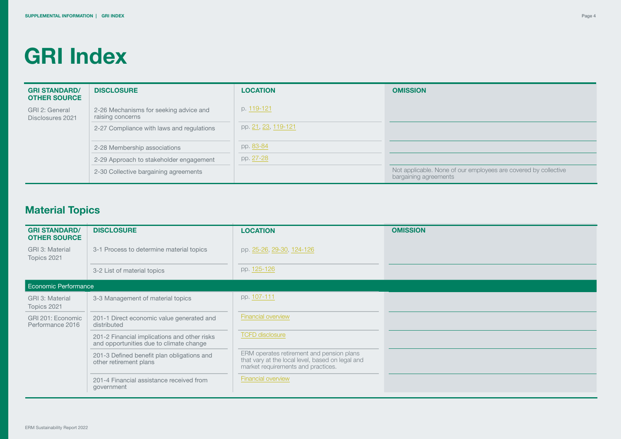| <b>GRI STANDARD/</b><br><b>OTHER SOURCE</b> | <b>DISCLOSURE</b>                                          | <b>LOCATION</b>     | <b>OMISSION</b>                                                                          |
|---------------------------------------------|------------------------------------------------------------|---------------------|------------------------------------------------------------------------------------------|
| GRI 2: General<br>Disclosures 2021          | 2-26 Mechanisms for seeking advice and<br>raising concerns | p. 119-121          |                                                                                          |
|                                             | 2-27 Compliance with laws and regulations                  | pp. 21, 23, 119-121 |                                                                                          |
|                                             | 2-28 Membership associations                               | pp. 83-84           |                                                                                          |
|                                             | 2-29 Approach to stakeholder engagement                    | pp. 27-28           |                                                                                          |
|                                             | 2-30 Collective bargaining agreements                      |                     | Not applicable. None of our employees are covered by collective<br>bargaining agreements |

#### **Material Topics**

| <b>GRI STANDARD/</b><br><b>OTHER SOURCE</b> | <b>DISCLOSURE</b>                                                                       | <b>LOCATION</b>                                                                                                                     | <b>OMISSION</b> |
|---------------------------------------------|-----------------------------------------------------------------------------------------|-------------------------------------------------------------------------------------------------------------------------------------|-----------------|
| GRI 3: Material<br>Topics 2021              | 3-1 Process to determine material topics                                                | pp. 25-26, 29-30, 124-126                                                                                                           |                 |
|                                             | 3-2 List of material topics                                                             | pp. 125-126                                                                                                                         |                 |
| Economic Performance                        |                                                                                         |                                                                                                                                     |                 |
| GRI 3: Material<br>Topics 2021              | 3-3 Management of material topics                                                       | pp. 107-111                                                                                                                         |                 |
| GRI 201: Economic<br>Performance 2016       | 201-1 Direct economic value generated and<br>distributed                                | Financial overview                                                                                                                  |                 |
|                                             | 201-2 Financial implications and other risks<br>and opportunities due to climate change | <b>TCFD</b> disclosure                                                                                                              |                 |
|                                             | 201-3 Defined benefit plan obligations and<br>other retirement plans                    | ERM operates retirement and pension plans<br>that vary at the local level, based on legal and<br>market requirements and practices. |                 |
|                                             | 201-4 Financial assistance received from<br>government                                  | <b>Financial overview</b>                                                                                                           |                 |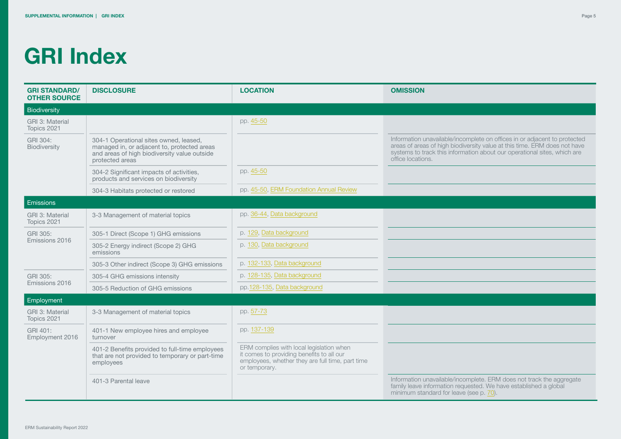| <b>GRI STANDARD/</b><br><b>OTHER SOURCE</b> | <b>DISCLOSURE</b>                                                                                                                                        | <b>LOCATION</b>                                                                                                                                            | <b>OMISSION</b>                                                                                                                                                                                                                                         |
|---------------------------------------------|----------------------------------------------------------------------------------------------------------------------------------------------------------|------------------------------------------------------------------------------------------------------------------------------------------------------------|---------------------------------------------------------------------------------------------------------------------------------------------------------------------------------------------------------------------------------------------------------|
| Biodiversity                                |                                                                                                                                                          |                                                                                                                                                            |                                                                                                                                                                                                                                                         |
| GRI 3: Material<br>Topics 2021              |                                                                                                                                                          | pp. 45-50                                                                                                                                                  |                                                                                                                                                                                                                                                         |
| GRI 304:<br>Biodiversity                    | 304-1 Operational sites owned, leased,<br>managed in, or adjacent to, protected areas<br>and areas of high biodiversity value outside<br>protected areas |                                                                                                                                                            | Information unavailable/incomplete on offices in or adjacent to protected<br>areas of areas of high biodiversity value at this time. ERM does not have<br>systems to track this information about our operational sites, which are<br>office locations. |
|                                             | 304-2 Significant impacts of activities,<br>products and services on biodiversity                                                                        | pp. 45-50                                                                                                                                                  |                                                                                                                                                                                                                                                         |
|                                             | 304-3 Habitats protected or restored                                                                                                                     | pp. 45-50, ERM Foundation Annual Review                                                                                                                    |                                                                                                                                                                                                                                                         |
| Emissions                                   |                                                                                                                                                          |                                                                                                                                                            |                                                                                                                                                                                                                                                         |
| GRI 3: Material<br>Topics 2021              | 3-3 Management of material topics                                                                                                                        | pp. 36-44, Data background                                                                                                                                 |                                                                                                                                                                                                                                                         |
| GRI 305:                                    | 305-1 Direct (Scope 1) GHG emissions                                                                                                                     | p. 129, Data background                                                                                                                                    |                                                                                                                                                                                                                                                         |
| Emissions 2016                              | 305-2 Energy indirect (Scope 2) GHG<br>emissions                                                                                                         | p. 130, Data background                                                                                                                                    |                                                                                                                                                                                                                                                         |
|                                             | 305-3 Other indirect (Scope 3) GHG emissions                                                                                                             | p. 132-133, Data background                                                                                                                                |                                                                                                                                                                                                                                                         |
| GRI 305:                                    | 305-4 GHG emissions intensity                                                                                                                            | p. 128-135, Data background                                                                                                                                |                                                                                                                                                                                                                                                         |
| Emissions 2016                              | 305-5 Reduction of GHG emissions                                                                                                                         | pp.128-135, Data background                                                                                                                                |                                                                                                                                                                                                                                                         |
| Employment                                  |                                                                                                                                                          |                                                                                                                                                            |                                                                                                                                                                                                                                                         |
| GRI 3: Material<br>Topics 2021              | 3-3 Management of material topics                                                                                                                        | pp. 57-73                                                                                                                                                  |                                                                                                                                                                                                                                                         |
| GRI 401:<br>Employment 2016                 | 401-1 New employee hires and employee<br>turnover                                                                                                        | pp. 137-139                                                                                                                                                |                                                                                                                                                                                                                                                         |
|                                             | 401-2 Benefits provided to full-time employees<br>that are not provided to temporary or part-time<br>employees                                           | ERM complies with local legislation when<br>it comes to providing benefits to all our<br>employees, whether they are full time, part time<br>or temporary. |                                                                                                                                                                                                                                                         |
|                                             | 401-3 Parental leave                                                                                                                                     |                                                                                                                                                            | Information unavailable/incomplete. ERM does not track the aggregate<br>family leave information requested. We have established a global<br>minimum standard for leave (see p. 70).                                                                     |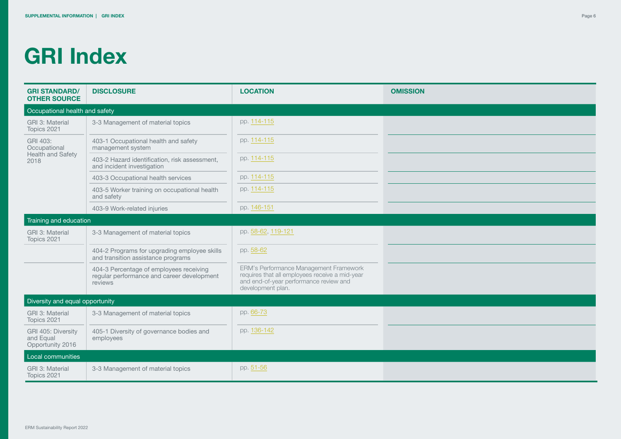| <b>GRI STANDARD/</b><br><b>OTHER SOURCE</b>         | <b>DISCLOSURE</b>                                                                                | <b>LOCATION</b>                                                                                                                                         | <b>OMISSION</b> |
|-----------------------------------------------------|--------------------------------------------------------------------------------------------------|---------------------------------------------------------------------------------------------------------------------------------------------------------|-----------------|
| Occupational health and safety                      |                                                                                                  |                                                                                                                                                         |                 |
| GRI 3: Material<br>Topics 2021                      | 3-3 Management of material topics                                                                | pp. 114-115                                                                                                                                             |                 |
| GRI 403:<br>Occupational                            | 403-1 Occupational health and safety<br>management system                                        | pp. 114-115                                                                                                                                             |                 |
| Health and Safety<br>2018                           | 403-2 Hazard identification, risk assessment,<br>and incident investigation                      | pp. 114-115                                                                                                                                             |                 |
|                                                     | 403-3 Occupational health services                                                               | pp. 114-115                                                                                                                                             |                 |
|                                                     | 403-5 Worker training on occupational health<br>and safety                                       | pp. 114-115                                                                                                                                             |                 |
|                                                     | 403-9 Work-related injuries                                                                      | pp. 146-151                                                                                                                                             |                 |
| Training and education                              |                                                                                                  |                                                                                                                                                         |                 |
| GRI 3: Material<br>Topics 2021                      | 3-3 Management of material topics                                                                | pp. 58-62, 119-121                                                                                                                                      |                 |
|                                                     | 404-2 Programs for upgrading employee skills<br>and transition assistance programs               | pp. 58-62                                                                                                                                               |                 |
|                                                     | 404-3 Percentage of employees receiving<br>regular performance and career development<br>reviews | ERM's Performance Management Framework<br>requires that all employees receive a mid-year<br>and end-of-year performance review and<br>development plan. |                 |
| Diversity and equal opportunity                     |                                                                                                  |                                                                                                                                                         |                 |
| GRI 3: Material<br>Topics 2021                      | 3-3 Management of material topics                                                                | pp. 66-73                                                                                                                                               |                 |
| GRI 405: Diversity<br>and Equal<br>Opportunity 2016 | 405-1 Diversity of governance bodies and<br>employees                                            | pp. 136-142                                                                                                                                             |                 |
| Local communities                                   |                                                                                                  |                                                                                                                                                         |                 |
| GRI 3: Material<br>Topics 2021                      | 3-3 Management of material topics                                                                | pp. 51-56                                                                                                                                               |                 |